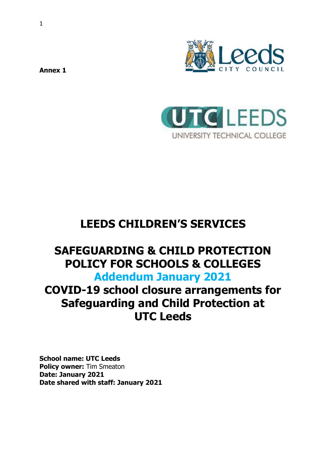



# **LEEDS CHILDREN'S SERVICES**

## **SAFEGUARDING & CHILD PROTECTION POLICY FOR SCHOOLS & COLLEGES Addendum January 2021**

# **COVID-19 school closure arrangements for Safeguarding and Child Protection at UTC Leeds**

**School name: UTC Leeds Policy owner:** Tim Smeaton **Date: January 2021 Date shared with staff: January 2021**

**Annex 1**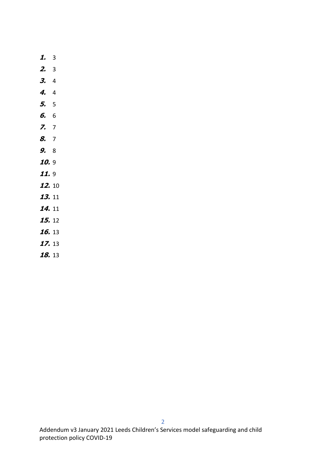| 1.            | 3  |
|---------------|----|
| 2.            | 3  |
| З.            | 4  |
| 4,            | 4  |
| 5,            | 5  |
| 6.            | 6  |
| 7.            | 7  |
| 8.            | 7  |
| 9.            | 8  |
| 10.           | 9  |
| 11.           | 9  |
| 12.           | 10 |
| 13.           | 11 |
| 14.           | 11 |
| <b>15.</b> 12 |    |
| <b>16.</b> 13 |    |
| 17.13         |    |
| 18.13         |    |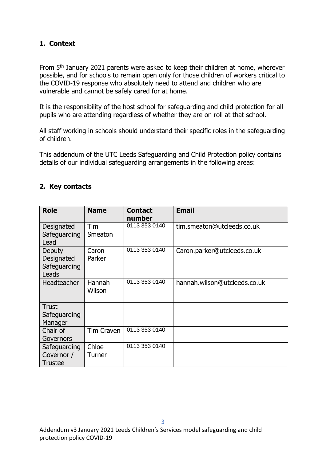### <span id="page-2-0"></span>**1. Context**

From 5<sup>th</sup> January 2021 parents were asked to keep their children at home, wherever possible, and for schools to remain open only for those children of workers critical to the COVID-19 response who absolutely need to attend and children who are vulnerable and cannot be safely cared for at home.

It is the responsibility of the host school for safeguarding and child protection for all pupils who are attending regardless of whether they are on roll at that school.

All staff working in schools should understand their specific roles in the safeguarding of children.

This addendum of the UTC Leeds Safeguarding and Child Protection policy contains details of our individual safeguarding arrangements in the following areas:

## <span id="page-2-1"></span>**2. Key contacts**

| <b>Role</b>                                   | <b>Name</b>       | <b>Contact</b><br>number | <b>Email</b>                 |
|-----------------------------------------------|-------------------|--------------------------|------------------------------|
| Designated<br>Safeguarding<br>Lead            | Tim<br>Smeaton    | 0113 353 0140            | tim.smeaton@utcleeds.co.uk   |
| Deputy<br>Designated<br>Safeguarding<br>Leads | Caron<br>Parker   | 0113 353 0140            | Caron.parker@utcleeds.co.uk  |
| Headteacher                                   | Hannah<br>Wilson  | 0113 353 0140            | hannah.wilson@utcleeds.co.uk |
| <b>Trust</b><br>Safeguarding<br>Manager       |                   |                          |                              |
| Chair of<br>Governors                         | <b>Tim Craven</b> | 0113 353 0140            |                              |
| Safeguarding<br>Governor /<br><b>Trustee</b>  | Chloe<br>Turner   | 0113 353 0140            |                              |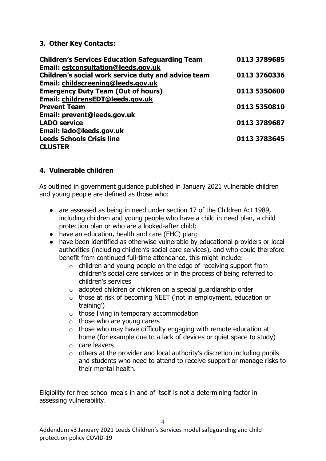#### <span id="page-3-0"></span>**3. Other Key Contacts:**

| 0113 3789685 |
|--------------|
|              |
| 0113 3760336 |
|              |
| 0113 5350600 |
|              |
| 0113 5350810 |
|              |
| 0113 3789687 |
|              |
| 0113 3783645 |
|              |
|              |

#### <span id="page-3-1"></span>**4. Vulnerable children**

As outlined in government guidance published in January 2021 vulnerable children and young people are defined as those who:

- are assessed as being in need under section 17 of the Children Act 1989, including children and young people who have a child in need plan, a child protection plan or who are a looked-after child;
- have an education, health and care (EHC) plan;
- have been identified as otherwise vulnerable by educational providers or local authorities (including children's social care services), and who could therefore benefit from continued full-time attendance, this might include:
	- o children and young people on the edge of receiving support from children's social care services or in the process of being referred to children's services
	- $\circ$  adopted children or children on a special guardianship order
	- o those at risk of becoming NEET ('not in employment, education or training')
	- o those living in temporary accommodation
	- $\circ$  those who are young carers
	- $\circ$  those who may have difficulty engaging with remote education at home (for example due to a lack of devices or quiet space to study)
	- o care leavers
	- $\circ$  others at the provider and local authority's discretion including pupils and students who need to attend to receive support or manage risks to their mental health.

Eligibility for free school meals in and of itself is not a determining factor in assessing vulnerability.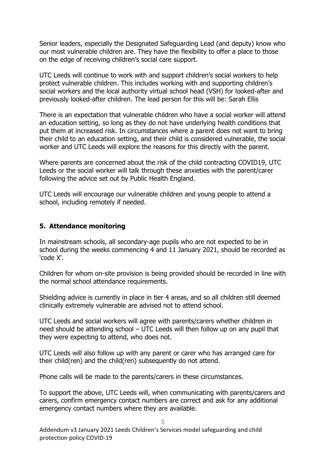Senior leaders, especially the Designated Safeguarding Lead (and deputy) know who our most vulnerable children are. They have the flexibility to offer a place to those on the edge of receiving children's social care support.

UTC Leeds will continue to work with and support children's social workers to help protect vulnerable children. This includes working with and supporting children's social workers and the local authority virtual school head (VSH) for looked-after and previously looked-after children. The lead person for this will be: Sarah Ellis

There is an expectation that vulnerable children who have a social worker will attend an education setting, so long as they do not have underlying health conditions that put them at increased risk. In circumstances where a parent does not want to bring their child to an education setting, and their child is considered vulnerable, the social worker and UTC Leeds will explore the reasons for this directly with the parent.

Where parents are concerned about the risk of the child contracting COVID19, UTC Leeds or the social worker will talk through these anxieties with the parent/carer following the advice set out by Public Health England.

UTC Leeds will encourage our vulnerable children and young people to attend a school, including remotely if needed.

#### <span id="page-4-0"></span>**5. Attendance monitoring**

In mainstream schools, all secondary-age pupils who are not expected to be in school during the weeks commencing 4 and 11 January 2021, should be recorded as 'code X'.

Children for whom on-site provision is being provided should be recorded in line with the normal school attendance requirements.

Shielding advice is currently in place in tier 4 areas, and so all children still deemed clinically extremely vulnerable are advised not to attend school.

UTC Leeds and social workers will agree with parents/carers whether children in need should be attending school – UTC Leeds will then follow up on any pupil that they were expecting to attend, who does not.

UTC Leeds will also follow up with any parent or carer who has arranged care for their child(ren) and the child(ren) subsequently do not attend.

Phone calls will be made to the parents/carers in these circumstances.

To support the above, UTC Leeds will, when communicating with parents/carers and carers, confirm emergency contact numbers are correct and ask for any additional emergency contact numbers where they are available.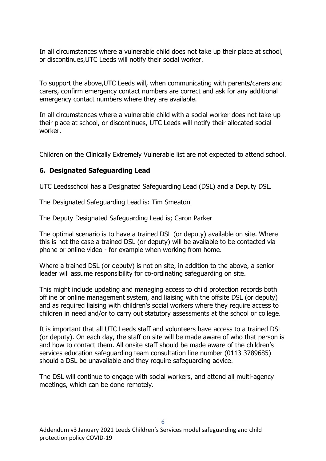In all circumstances where a vulnerable child does not take up their place at school, or discontinues,UTC Leeds will notify their social worker.

To support the above,UTC Leeds will, when communicating with parents/carers and carers, confirm emergency contact numbers are correct and ask for any additional emergency contact numbers where they are available.

In all circumstances where a vulnerable child with a social worker does not take up their place at school, or discontinues, UTC Leeds will notify their allocated social worker.

Children on the Clinically Extremely Vulnerable list are not expected to attend school.

## <span id="page-5-0"></span>**6. Designated Safeguarding Lead**

UTC Leedsschool has a Designated Safeguarding Lead (DSL) and a Deputy DSL.

The Designated Safeguarding Lead is: Tim Smeaton

The Deputy Designated Safeguarding Lead is; Caron Parker

The optimal scenario is to have a trained DSL (or deputy) available on site. Where this is not the case a trained DSL (or deputy) will be available to be contacted via phone or online video - for example when working from home.

Where a trained DSL (or deputy) is not on site, in addition to the above, a senior leader will assume responsibility for co-ordinating safeguarding on site.

This might include updating and managing access to child protection records both offline or online management system, and liaising with the offsite DSL (or deputy) and as required liaising with children's social workers where they require access to children in need and/or to carry out statutory assessments at the school or college.

It is important that all UTC Leeds staff and volunteers have access to a trained DSL (or deputy). On each day, the staff on site will be made aware of who that person is and how to contact them. All onsite staff should be made aware of the children's services education safeguarding team consultation line number (0113 3789685) should a DSL be unavailable and they require safeguarding advice.

The DSL will continue to engage with social workers, and attend all multi-agency meetings, which can be done remotely.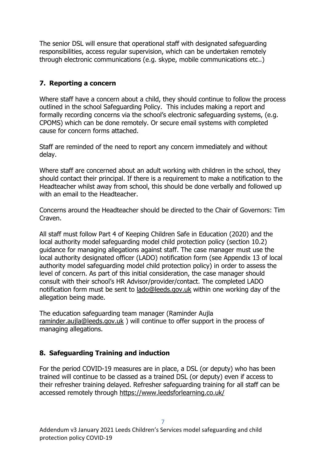The senior DSL will ensure that operational staff with designated safeguarding responsibilities, access regular supervision, which can be undertaken remotely through electronic communications (e.g. skype, mobile communications etc..)

## <span id="page-6-0"></span>**7. Reporting a concern**

Where staff have a concern about a child, they should continue to follow the process outlined in the school Safeguarding Policy. This includes making a report and formally recording concerns via the school's electronic safeguarding systems, (e.g. CPOMS) which can be done remotely. Or secure email systems with completed cause for concern forms attached.

Staff are reminded of the need to report any concern immediately and without delay.

Where staff are concerned about an adult working with children in the school, they should contact their principal. If there is a requirement to make a notification to the Headteacher whilst away from school, this should be done verbally and followed up with an email to the Headteacher.

Concerns around the Headteacher should be directed to the Chair of Governors: Tim Craven.

All staff must follow Part 4 of Keeping Children Safe in Education (2020) and the local authority model safeguarding model child protection policy (section 10.2) guidance for managing allegations against staff. The case manager must use the local authority designated officer (LADO) notification form (see Appendix 13 of local authority model safeguarding model child protection policy) in order to assess the level of concern. As part of this initial consideration, the case manager should consult with their school's HR Advisor/provider/contact. The completed LADO notification form must be sent to [lado@leeds.gov.uk](mailto:lado@leeds.gov.uk) within one working day of the allegation being made.

The education safeguarding team manager (Raminder Aujla [raminder.aujla@leeds.gov.uk](mailto:raminder.aujla@leeds.gov.uk) ) will continue to offer support in the process of managing allegations.

## <span id="page-6-1"></span>**8. Safeguarding Training and induction**

For the period COVID-19 measures are in place, a DSL (or deputy) who has been trained will continue to be classed as a trained DSL (or deputy) even if access to their refresher training delayed. Refresher safeguarding training for all staff can be accessed remotely through<https://www.leedsforlearning.co.uk/>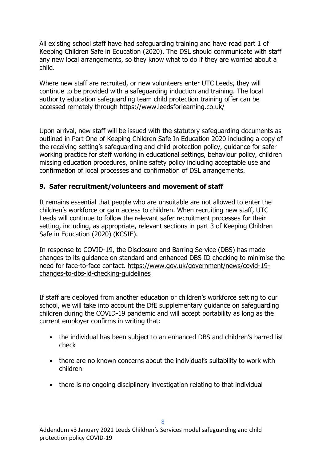All existing school staff have had safeguarding training and have read part 1 of Keeping Children Safe in Education (2020). The DSL should communicate with staff any new local arrangements, so they know what to do if they are worried about a child.

Where new staff are recruited, or new volunteers enter UTC Leeds, they will continue to be provided with a safeguarding induction and training. The local authority education safeguarding team child protection training offer can be accessed remotely through<https://www.leedsforlearning.co.uk/>

Upon arrival, new staff will be issued with the statutory safeguarding documents as outlined in Part One of Keeping Children Safe In Education 2020 including a copy of the receiving setting's safeguarding and child protection policy, guidance for safer working practice for staff working in educational settings, behaviour policy, children missing education procedures, online safety policy including acceptable use and confirmation of local processes and confirmation of DSL arrangements.

#### <span id="page-7-0"></span>**9. Safer recruitment/volunteers and movement of staff**

It remains essential that people who are unsuitable are not allowed to enter the children's workforce or gain access to children. When recruiting new staff, UTC Leeds will continue to follow the relevant safer recruitment processes for their setting, including, as appropriate, relevant sections in part 3 of Keeping Children Safe in Education (2020) (KCSIE).

In response to COVID-19, the Disclosure and Barring Service (DBS) has made changes to its guidance on standard and enhanced DBS ID checking to minimise the need for face-to-face contact. [https://www.gov.uk/government/news/covid-19](https://www.gov.uk/government/news/covid-19-changes-to-dbs-id-checking-guidelines) changes-to-dbs-id-checking-quidelines

If staff are deployed from another education or children's workforce setting to our school, we will take into account the DfE supplementary guidance on safeguarding children during the COVID-19 pandemic and will accept portability as long as the current employer confirms in writing that:

- the individual has been subject to an enhanced DBS and children's barred list check
- there are no known concerns about the individual's suitability to work with children
- there is no ongoing disciplinary investigation relating to that individual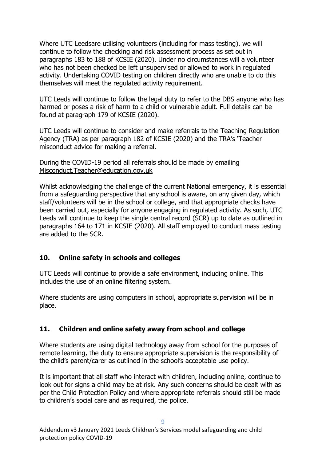Where UTC Leedsare utilising volunteers (including for mass testing), we will continue to follow the checking and risk assessment process as set out in paragraphs 183 to 188 of KCSIE (2020). Under no circumstances will a volunteer who has not been checked be left unsupervised or allowed to work in regulated activity. Undertaking COVID testing on children directly who are unable to do this themselves will meet the regulated activity requirement.

UTC Leeds will continue to follow the legal duty to refer to the DBS anyone who has harmed or poses a risk of harm to a child or vulnerable adult. Full details can be found at paragraph 179 of KCSIE (2020).

UTC Leeds will continue to consider and make referrals to the Teaching Regulation Agency (TRA) as per paragraph 182 of KCSIE (2020) and the TRA's 'Teacher misconduct advice for making a referral.

During the COVID-19 period all referrals should be made by emailing [Misconduct.Teacher@education.gov.uk](mailto:Misconduct.Teacher@education.gov.uk)

Whilst acknowledging the challenge of the current National emergency, it is essential from a safeguarding perspective that any school is aware, on any given day, which staff/volunteers will be in the school or college, and that appropriate checks have been carried out, especially for anyone engaging in regulated activity. As such, UTC Leeds will continue to keep the single central record (SCR) up to date as outlined in paragraphs 164 to 171 in KCSIE (2020). All staff employed to conduct mass testing are added to the SCR.

#### <span id="page-8-0"></span>**10. Online safety in schools and colleges**

UTC Leeds will continue to provide a safe environment, including online. This includes the use of an online filtering system.

Where students are using computers in school, appropriate supervision will be in place.

## <span id="page-8-1"></span>**11. Children and online safety away from school and college**

Where students are using digital technology away from school for the purposes of remote learning, the duty to ensure appropriate supervision is the responsibility of the child's parent/carer as outlined in the school's acceptable use policy.

It is important that all staff who interact with children, including online, continue to look out for signs a child may be at risk. Any such concerns should be dealt with as per the Child Protection Policy and where appropriate referrals should still be made to children's social care and as required, the police.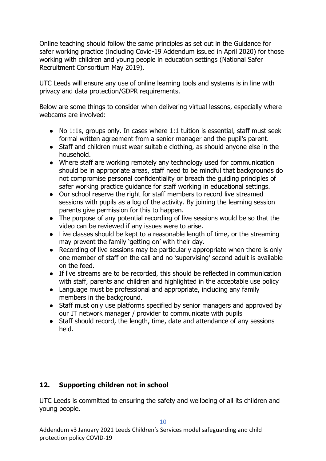Online teaching should follow the same principles as set out in the Guidance for safer working practice (including Covid-19 Addendum issued in April 2020) for those working with children and young people in education settings (National Safer Recruitment Consortium May 2019).

UTC Leeds will ensure any use of online learning tools and systems is in line with privacy and data protection/GDPR requirements.

Below are some things to consider when delivering virtual lessons, especially where webcams are involved:

- No 1:1s, groups only. In cases where 1:1 tuition is essential, staff must seek formal written agreement from a senior manager and the pupil's parent.
- Staff and children must wear suitable clothing, as should anyone else in the household.
- Where staff are working remotely any technology used for communication should be in appropriate areas, staff need to be mindful that backgrounds do not compromise personal confidentiality or breach the guiding principles of safer working practice guidance for staff working in educational settings.
- Our school reserve the right for staff members to record live streamed sessions with pupils as a log of the activity. By joining the learning session parents give permission for this to happen.
- The purpose of any potential recording of live sessions would be so that the video can be reviewed if any issues were to arise.
- Live classes should be kept to a reasonable length of time, or the streaming may prevent the family 'getting on' with their day.
- Recording of live sessions may be particularly appropriate when there is only one member of staff on the call and no 'supervising' second adult is available on the feed.
- If live streams are to be recorded, this should be reflected in communication with staff, parents and children and highlighted in the acceptable use policy
- Language must be professional and appropriate, including any family members in the background.
- Staff must only use platforms specified by senior managers and approved by our IT network manager / provider to communicate with pupils
- Staff should record, the length, time, date and attendance of any sessions held.

## <span id="page-9-0"></span>**12. Supporting children not in school**

UTC Leeds is committed to ensuring the safety and wellbeing of all its children and young people.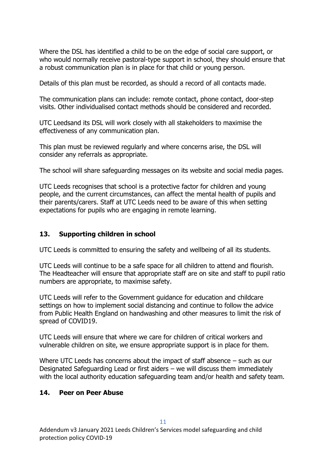Where the DSL has identified a child to be on the edge of social care support, or who would normally receive pastoral-type support in school, they should ensure that a robust communication plan is in place for that child or young person.

Details of this plan must be recorded, as should a record of all contacts made.

The communication plans can include: remote contact, phone contact, door-step visits. Other individualised contact methods should be considered and recorded.

UTC Leedsand its DSL will work closely with all stakeholders to maximise the effectiveness of any communication plan.

This plan must be reviewed regularly and where concerns arise, the DSL will consider any referrals as appropriate.

The school will share safeguarding messages on its website and social media pages.

UTC Leeds recognises that school is a protective factor for children and young people, and the current circumstances, can affect the mental health of pupils and their parents/carers. Staff at UTC Leeds need to be aware of this when setting expectations for pupils who are engaging in remote learning.

### <span id="page-10-0"></span>**13. Supporting children in school**

UTC Leeds is committed to ensuring the safety and wellbeing of all its students.

UTC Leeds will continue to be a safe space for all children to attend and flourish. The Headteacher will ensure that appropriate staff are on site and staff to pupil ratio numbers are appropriate, to maximise safety.

UTC Leeds will refer to the Government guidance for education and childcare settings on how to implement social distancing and continue to follow the advice from Public Health England on handwashing and other measures to limit the risk of spread of COVID19.

UTC Leeds will ensure that where we care for children of critical workers and vulnerable children on site, we ensure appropriate support is in place for them.

Where UTC Leeds has concerns about the impact of staff absence – such as our Designated Safeguarding Lead or first aiders – we will discuss them immediately with the local authority education safeguarding team and/or health and safety team.

#### <span id="page-10-1"></span>**14. Peer on Peer Abuse**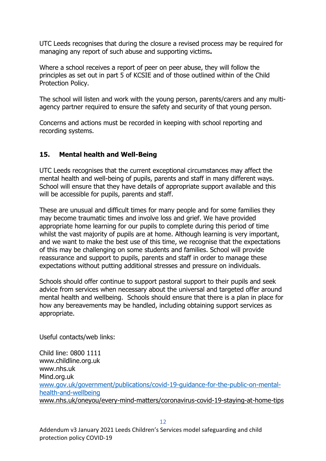UTC Leeds recognises that during the closure a revised process may be required for managing any report of such abuse and supporting victims**.** 

Where a school receives a report of peer on peer abuse, they will follow the principles as set out in part 5 of KCSIE and of those outlined within of the Child Protection Policy.

The school will listen and work with the young person, parents/carers and any multiagency partner required to ensure the safety and security of that young person.

Concerns and actions must be recorded in keeping with school reporting and recording systems.

#### <span id="page-11-0"></span>**15. Mental health and Well-Being**

UTC Leeds recognises that the current exceptional circumstances may affect the mental health and well-being of pupils, parents and staff in many different ways. School will ensure that they have details of appropriate support available and this will be accessible for pupils, parents and staff.

These are unusual and difficult times for many people and for some families they may become traumatic times and involve loss and grief. We have provided appropriate home learning for our pupils to complete during this period of time whilst the vast majority of pupils are at home. Although learning is very important, and we want to make the best use of this time, we recognise that the expectations of this may be challenging on some students and families. School will provide reassurance and support to pupils, parents and staff in order to manage these expectations without putting additional stresses and pressure on individuals.

Schools should offer continue to support pastoral support to their pupils and seek advice from services when necessary about the universal and targeted offer around mental health and wellbeing. Schools should ensure that there is a plan in place for how any bereavements may be handled, including obtaining support services as appropriate.

Useful contacts/web links:

Child line: 0800 1111 www.childline.org.uk www.nhs.uk Mind.org.uk [www.gov.uk/government/publications/covid-19-guidance-for-the-public-on-mental](http://www.gov.uk/government/publications/covid-19-guidance-for-the-public-on-mental-health-and-wellbeing)[health-and-wellbeing](http://www.gov.uk/government/publications/covid-19-guidance-for-the-public-on-mental-health-and-wellbeing) [www.nhs.uk/oneyou/every-mind-matters/coronavirus-covid-19-staying-at-home-tips](http://www.nhs.uk/oneyou/every-mind-matters/coronavirus-covid-19-staying-at-home-tips)